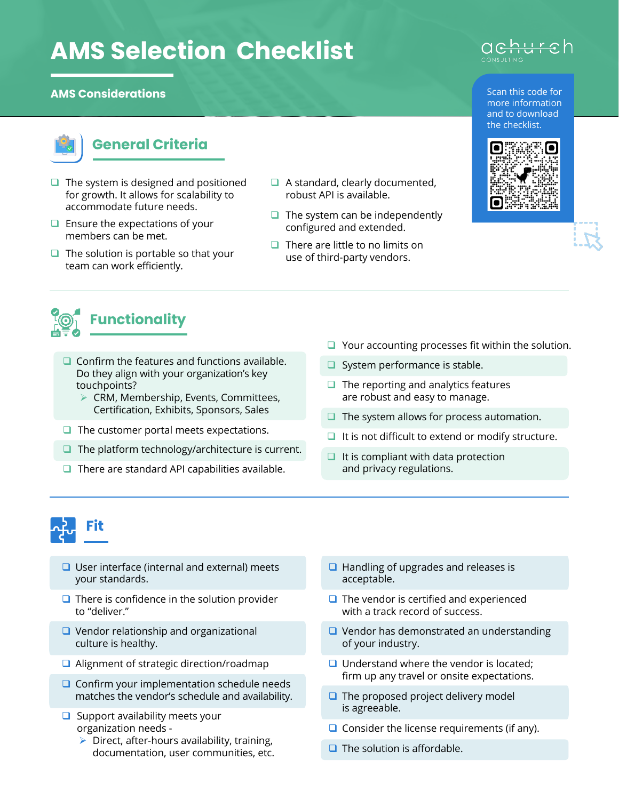## **AMS Selection Checklist**

## **AMS Considerations**



## **General Criteria**

- $\Box$  The system is designed and positioned for growth. It allows for scalability to accommodate future needs.
- $\Box$  Ensure the expectations of your members can be met.
- $\Box$  The solution is portable so that your team can work efficiently.
- $\Box$  A standard, clearly documented, robust API is available.
- $\Box$  The system can be independently configured and extended.
- $\Box$  There are little to no limits on use of third-party vendors.







- $\Box$  Confirm the features and functions available. Do they align with your organization's key touchpoints?
	- $\triangleright$  CRM, Membership, Events, Committees, Certification, Exhibits, Sponsors, Sales
- $\Box$  The customer portal meets expectations.
- $\Box$  The platform technology/architecture is current.
- $\Box$  There are standard API capabilities available.
- $\Box$  Your accounting processes fit within the solution.
- $\Box$  System performance is stable.
- $\Box$  The reporting and analytics features are robust and easy to manage.
- $\Box$  The system allows for process automation.
- $\Box$  It is not difficult to extend or modify structure.
- $\Box$  It is compliant with data protection and privacy regulations.



- $\Box$  User interface (internal and external) meets your standards.
- $\Box$  There is confidence in the solution provider to "deliver."
- $\Box$  Vendor relationship and organizational culture is healthy.
- $\Box$  Alignment of strategic direction/roadmap
- $\Box$  Confirm your implementation schedule needs matches the vendor's schedule and availability.
- $\Box$  Support availability meets your organization needs -
	- $\triangleright$  Direct, after-hours availability, training, documentation, user communities, etc.
- $\Box$  Handling of upgrades and releases is acceptable.
- $\Box$  The vendor is certified and experienced with a track record of success.
- $\Box$  Vendor has demonstrated an understanding of your industry.
- $\Box$  Understand where the vendor is located: firm up any travel or onsite expectations.
- $\Box$  The proposed project delivery model is agreeable.
- $\Box$  Consider the license requirements (if any).
- $\Box$  The solution is affordable.